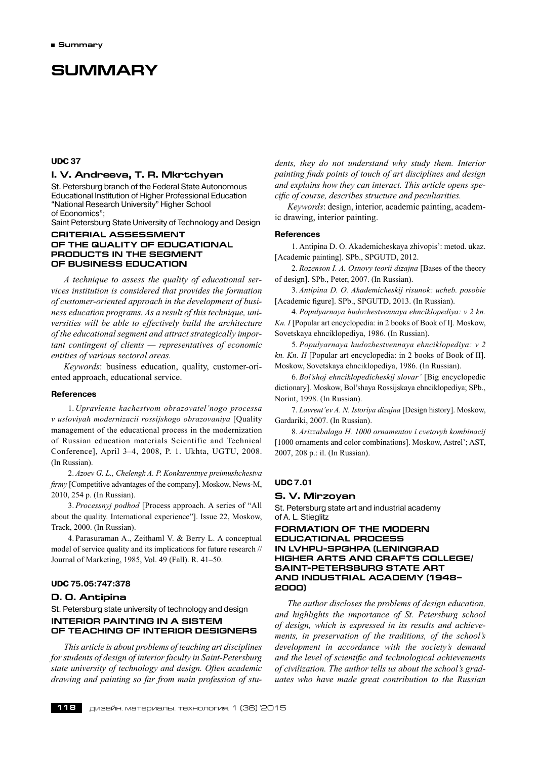# **Summary**

# **UDC 37**

# **I. V. Andreeva, T. R. Mkrtchyan**

St. Petersburg branch of the Federal State Autonomous Educational Institution of Higher Professional Education "National Research University" Higher School of Economics";

Saint Petersburg State University of Technology and Design

# **Criterial assessment of the quality of educational products in the segment of business education**

*A technique to assess the quality of educational services institution is considered that provides the formation of customer-oriented approach in the development of business education programs. As a result of this technique, universities will be able to effectively build the architecture of the educational segment and attract strategically important contingent of clients — representatives of economic entities of various sectoral areas.*

*Keywords*: business education, quality, customer-oriented approach, educational service.

#### **References**

1. *Upravlenie kachestvom obrazovatel'nogo processa v usloviyah modernizacii rossijskogo obrazovaniya* [Quality management of the educational process in the modernization of Russian education materials Scientific and Technical Conference], April 3–4, 2008, P. 1. Ukhta, UGTU, 2008. (In Russian).

2. *Azoev G. L., Chelengk A. P. Konkurentnye preimushchestva firmy* [Competitive advantages of the company]. Moskow, News-M, 2010, 254 p. (In Russian).

3. *Processnyj podhod* [Process approach. A series of "All about the quality. International experience"]. Issue 22, Moskow, Track, 2000. (In Russian).

4. Parasuraman A., Zeithaml V. & Berry L. A conceptual model of service quality and its implications for future research // Journal of Marketing, 1985, Vol. 49 (Fall). R. 41–50.

#### **UDC 75.05:747:378**

#### **D. O. Antipina**

St. Petersburg state university of technology and design **INTERIOR PAINTING IN A SISTEM OF TEACHING OF INTERIOR DESIGNERS**

*This article is about problems of teaching art disciplines for students of design of interior faculty in Saint-Petersburg state university of technology and design. Often academic drawing and painting so far from main profession of stu-* *dents, they do not understand why study them. Interior painting finds points of touch of art disciplines and design and explains how they can interact. This article opens specific of course, describes structure and peculiarities.*

*Keywords*: design, interior, academic painting, academic drawing, interior painting.

#### **References**

1. Antipina D. O. Akademicheskaya zhivopis': metod. ukaz. [Academic painting]. SPb., SPGUTD, 2012.

2. *Rozenson I. A. Osnovy teorii dizajna* [Bases of the theory of design]. SPb., Peter, 2007. (In Russian).

3. *Antipina D. O. Akademicheskij risunok: ucheb. posobie* [Academic figure]. SPb., SPGUTD, 2013. (In Russian).

4. *Populyarnaya hudozhestvennaya ehnciklopediya: v 2 kn. Kn. I* [Popular art encyclopedia: in 2 books of Book of I]. Moskow, Sovetskaya ehnciklopediya, 1986. (In Russian).

5. *Populyarnaya hudozhestvennaya ehnciklopediya: v 2 kn. Kn. II* [Popular art encyclopedia: in 2 books of Book of II]. Moskow, Sovetskaya ehnciklopediya, 1986. (In Russian).

6. *Bol'shoj ehnciklopedicheskij slovar'* [Big encyclopedic dictionary]. Moskow, Bol'shaya Rossijskaya ehnciklopediya; SPb., Norint, 1998. (In Russian).

7. *Lavrent'ev A. N. Istoriya dizajna* [Design history]. Moskow, Gardariki, 2007. (In Russian).

8. *Arizzabalaga H. 1000 ornamentov i cvetovyh kombinacij* [1000 ornaments and color combinations]. Moskow, Astrel'; AST, 2007, 208 p.: il. (In Russian).

# **UDC 7.01**

#### **S. V. Mirzoyan**

St. Petersburg state art and industrial academy of A. L. Stieglitz

# **Formation of the modern educational process in LVHPU-SPGHPA (Leningrad Higher Arts and Crafts College/ Saint-Petersburg State Art and Industrial Academy (1948– 2000)**

*The author discloses the problems of design education, and highlights the importance of St. Petersburg school of design, which is expressed in its results and achievements, in preservation of the traditions, of the school's development in accordance with the society's demand and the level of scientific and technological achievements of civilization. The author tells us about the school's graduates who have made great contribution to the Russian*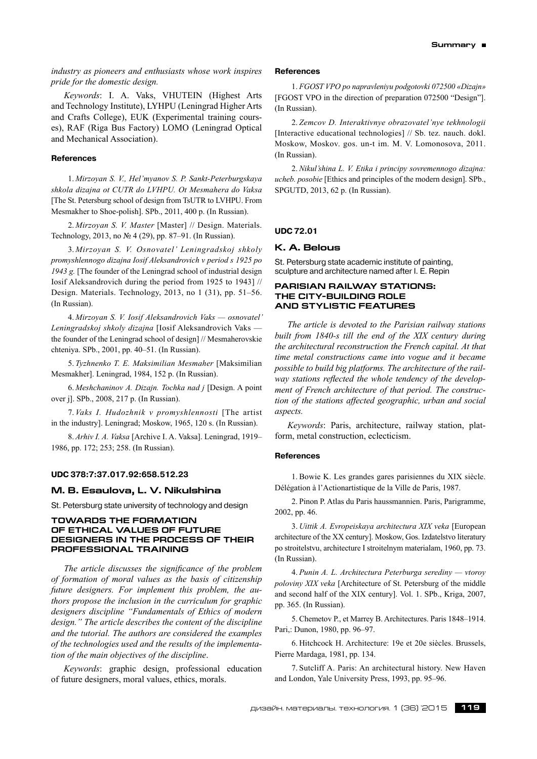*industry as pioneers and enthusiasts whose work inspires pride for the domestic design.*

*Keywords*: I. A. Vaks, VHUTEIN (Highest Arts and Technology Institute), LYHPU (Leningrad Higher Arts and Crafts College), EUK (Experimental training courses), RAF (Riga Bus Factory) LOMO (Leningrad Optical and Mechanical Association).

#### **References**

1. *Mirzoyan S. V., Hel'myanov S. P. Sankt-Peterburgskaya shkola dizajna ot CUTR do LVHPU. Ot Mesmahera do Vaksa* [The St. Petersburg school of design from TsUTR to LVHPU. From Mesmakher to Shoe-polish]. SPb., 2011, 400 p. (In Russian).

2. *Mirzoyan S. V. Master* [Master] // Design. Materials. Technology, 2013, no № 4 (29), pp. 87–91. (In Russian).

3. *Mirzoyan S. V. Osnovatel' Leningradskoj shkoly promyshlennogo dizajna Iosif Aleksandrovich v period s 1925 po 1943 g.* [The founder of the Leningrad school of industrial design Iosif Aleksandrovich during the period from 1925 to 1943] // Design. Materials. Technology, 2013, no 1 (31), pp. 51–56. (In Russian).

4. *Mirzoyan S. V. Iosif Aleksandrovich Vaks — osnovatel' Leningradskoj shkoly dizajna* [Iosif Aleksandrovich Vaks the founder of the Leningrad school of design] // Mesmaherovskie chteniya. SPb., 2001, pp. 40–51. (In Russian).

5. *Tyzhnenko T. E. Maksimilian Mesmaher* [Maksimilian Mesmakher]. Leningrad, 1984, 152 p. (In Russian).

6. *Meshchaninov A. Dizajn. Tochka nad j* [Design. A point over j]. SPb., 2008, 217 p. (In Russian).

7. *Vaks I. Hudozhnik v promyshlennosti* [The artist in the industry]. Leningrad; Moskow, 1965, 120 s. (In Russian).

8. *Arhiv I. A. Vaksa* [Archive I. A. Vaksa]. Leningrad, 1919– 1986, pp. 172; 253; 258. (In Russian).

#### **UDC 378:7:37.017.92:658.512.23**

# **M. B. Esaulova, L. V. Nikulshina**

St. Petersburg state university of technology and design

# **TOWARDS THE FORMATION OF ETHICAL VALUES OF FUTURE DESIGNERS IN THE PROCESS OF THEIR PROFESSIONAL TRAINING**

*The article discusses the significance of the problem of formation of moral values as the basis of citizenship future designers. For implement this problem, the authors propose the inclusion in the curriculum for graphic designers discipline "Fundamentals of Ethics of modern design." The article describes the content of the discipline and the tutorial. The authors are considered the examples of the technologies used and the results of the implementation of the main objectives of the discipline*.

*Keywords*: graphic design, professional education of future designers, moral values, ethics, morals.

#### **References**

1. *FGOST VPO po napravleniyu podgotovki 072500 «Dizajn»* [FGOST VPO in the direction of preparation 072500 "Design"]. (In Russian).

2. *Zemcov D. Interaktivnye obrazovatel'nye tekhnologii* [Interactive educational technologies] // Sb. tez. nauch. dokl. Moskow, Moskov. gos. un-t im. M. V. Lomonosova, 2011. (In Russian).

2. *Nikul'shina L. V. Etika i principy sovremennogo dizajna: ucheb. posobie* [Ethics and principles of the modern design]. SPb., SPGUTD, 2013, 62 p. (In Russian).

# **UDC 72.01**

#### **K. A. Belous**

St. Petersburg state academic institute of painting, sculpture and architecture named after I. E. Repin

# **PARISIAN RAILWAY STATIONS: THE CITY-BUILDING ROLE AND STYLISTIC FEATURES**

*The article is devoted to the Parisian railway stations built from 1840-s till the end of the XIX century during the architectural reconstruction the French capital. At that time metal constructions came into vogue and it became possible to build big platforms. The architecture of the railway stations reflected the whole tendency of the development of French architecture of that period. The construction of the stations affected geographic, urban and social aspects.*

*Keywords*: Paris, architecture, railway station, platform, metal construction, eclecticism.

#### **References**

1. Bowie K. Les grandes gares parisiennes du XIX siècle. Délégation à l'Actionartistique de la Ville de Paris, 1987.

2. Pinon P. Atlas du Paris haussmannien. Paris, Parigramme, 2002, pp. 46.

3. *Uittik A. Evropeiskaya architectura XIX veka* [European architecture of the XX century]. Moskow, Gos. Izdatelstvo literatury po stroitelstvu, architecture I stroitelnym materialam, 1960, pp. 73. (In Russian).

4. *Punin A. L. Architectura Peterburga serediny — vtoroy poloviny XIX veka* [Architecture of St. Petersburg of the middle and second half of the XIX century]. Vol. 1. SPb., Kriga, 2007, pp. 365. (In Russian).

5. Chemetov P., et Marrey B. Architectures. Paris 1848–1914. Pari,: Dunon, 1980, pp. 96–97.

6. Hitchcock H. Architecture: 19e et 20e siècles. Brussels, Pierre Mardaga, 1981, pp. 134.

7. Sutcliff A. Paris: An architectural history. New Haven and London, Yale University Press, 1993, pp. 95–96.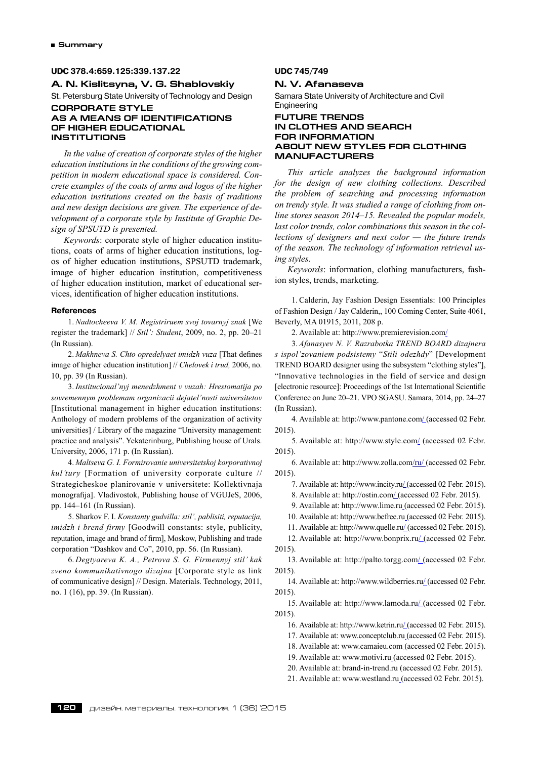# **UDC 378.4:659.125:339.137.22**

**A. N. Kislitsyna, V. G. Shablovskiy**

St. Petersburg State University of Technology and Design

## **CORPORATE STYLE AS A MEANS OF IDENTIFICATIONS OF HIGHER EDUCATIONAL INSTITUTIONS**

*In the value of creation of corporate styles of the higher education institutionsin the conditions of the growing competition in modern educational space is considered. Concrete examples of the coats of arms and logos of the higher education institutions created on the basis of traditions and new design decisions are given. The experience of development of a corporate style by Institute of Graphic Design of SPSUTD is presented.*

*Keywords*: corporate style of higher education institutions, coats of arms of higher education institutions, logos of higher education institutions, SPSUTD trademark, image of higher education institution, competitiveness of higher education institution, market of educational services, identification of higher education institutions.

# **References**

1. *Nadtocheeva V. M. Registriruem svoj tovarnyj znak* [We register the trademark] // *Stil': Student*, 2009, no. 2, pp. 20–21 (In Russian).

2. *Makhneva S. Chto opredelyaet imidzh vuza* [That defines image of higher education institution] // *Chelovek i trud,* 2006, no. 10, pp. 39 (In Russian).

3. *Institucional'nyj menedzhment v vuzah: Hrestomatija po sovremennym problemam organizacii dejatel'nosti universitetov* [Institutional management in higher education institutions: Anthology of modern problems of the organization of activity universities] / Library of the magazine "University management: practice and analysis". Yekaterinburg, Publishing house of Urals. University, 2006, 171 p. (In Russian).

4. *Maltseva G. I. Formirovanie universitetskoj korporativnoj kul'tury* [Formation of university corporate culture // Strategicheskoe planirovanie v universitete: Kollektivnaja monografija]. Vladivostok, Publishing house of VGUJeS, 2006, pp. 144–161 (In Russian).

5. Sharkov F. I. *Konstanty gudvilla: stil', pablisiti, reputacija, imidzh i brend firmy* [Goodwill constants: style, publicity, reputation, image and brand of firm], Moskow, Publishing and trade corporation "Dashkov and Co", 2010, pp. 56. (In Russian).

6. *Degtyareva K. A., Petrova S. G. Firmennyj stil' kak zveno kommunikativnogo dizajna* [Corporate style as link of communicative design] // Design. Materials. Technology, 2011, no. 1 (16), pp. 39. (In Russian).

# **UDC 745/749**

# **N. V. Afanaseva**

Samara State University of Architecture and Civil Engineering

# **Future trends in clothes and search for information about new styles for clothing manufacturers**

*This article analyzes the background information for the design of new clothing collections. Described the problem of searching and processing information on trendy style. It was studied a range of clothing from online stores season 2014–15. Revealed the popular models, last color trends, color combinations this season in the collections of designers and next color — the future trends of the season. The technology of information retrieval using styles.*

*Keywords*: information, clothing manufacturers, fashion styles, trends, marketing.

1. Calderin, Jay Fashion Design Essentials: 100 Principles of Fashion Design / Jay Calderin,, 100 Coming Center, Suite 4061, Beverly, MA 01915, 2011, 208 p.

2. Available at: http://www.premierevision.com/

3. *Afanasyev N. V. Razrabotka TREND BOARD dizajnera s ispol'zovaniem podsistemy* "*Stili odezhdy*" [Development TREND BOARD designer using the subsystem "clothing styles"], "Innovative technologies in the field of service and design [electronic resource]: Proceedings of the 1st International Scientific Conference on June 20–21. VPO SGASU. Samara, 2014, pp. 24–27 (In Russian).

4. Available at: http://www.pantone.com/ (accessed 02 Febr. 2015).

5. Available at: http://www.style.com/ (accessed 02 Febr. 2015).

6. Available at: http://www.zolla.com/ru/ (accessed 02 Febr. 2015).

7. Available at: http://www.incity.ru/ (accessed 02 Febr. 2015).

8. Available at: http://ostin.com/ (accessed 02 Febr. 2015).

9. Available at: http://www.lime.ru (accessed 02 Febr. 2015).

10. Available at: http://www.befree.ru (accessed 02 Febr. 2015).

11. Available at: http://www.quelle.ru/ (accessed 02 Febr. 2015).

12. Available at: http://www.bonprix.ru/ (accessed 02 Febr. 2015).

13. Available at: http://palto.torgg.com/ (accessed 02 Febr. 2015).

14. Available at: http://www.wildberries.ru/ (accessed 02 Febr. 2015).

15. Available at: http://www.lamoda.ru/ (accessed 02 Febr. 2015).

16. Available at: http://www.ketrin.ru/ (accessed 02 Febr. 2015).

17. Available at: www.conceptclub.ru (accessed 02 Febr. 2015).

18. Available at: www.camaieu.com (accessed 02 Febr. 2015).

19. Available at: www.motivi.ru (accessed 02 Febr. 2015).

20. Available at: brand-in-trend.ru (accessed 02 Febr. 2015).

21. Available at: www.westland.ru (accessed 02 Febr. 2015).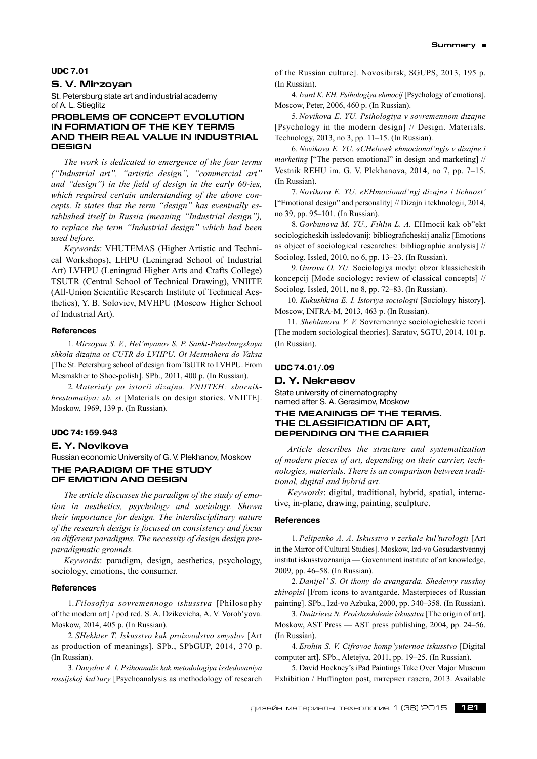#### **UDC 7.01**

# **S. V. Mirzoyan**

St. Petersburg state art and industrial academy of A. L. Stieglitz

# **Problems of concept evolution in formation of the key terms and their real value in industrial design**

*The work is dedicated to emergence of the four terms ("Industrial art", "artistic design", "commercial art" and "design") in the field of design in the early 60-ies, which required certain understanding of the above concepts. It states that the term "design" has eventually established itself in Russia (meaning "Industrial design"), to replace the term "Industrial design" which had been used before.*

*Keywords*: VHUTEMAS (Higher Artistic and Technical Workshops), LHPU (Leningrad School of Industrial Art) LVHPU (Leningrad Higher Arts and Crafts College) TSUTR (Central School of Technical Drawing), VNIITE (All-Union Scientific Research Institute of Technical Aesthetics), Y. B. Soloviev, MVHPU (Moscow Higher School of Industrial Art).

# **References**

1. *Mirzoyan S. V., Hel'myanov S. P. Sankt-Peterburgskaya shkola dizajna ot CUTR do LVHPU. Ot Mesmahera do Vaksa* [The St. Petersburg school of design from TsUTR to LVHPU. From Mesmakher to Shoe-polish]. SPb., 2011, 400 p. (In Russian).

2. *Materialy po istorii dizajna. VNIITEH: sbornikhrestomatiya: sb. st* [Materials on design stories. VNIITE]. Moskow, 1969, 139 p. (In Russian).

#### **UDC 74:159.943**

## **E. Y. Novikova**

Russian economic University of G. V. Plekhanov, Moskow **THE PARADIGM OF THE STUDY OF EMOTION AND DESIGN**

*Тhe article discusses the paradigm of the study of emotion in aesthetics, psychology and sociology. Shown their importance for design. The interdisciplinary nature of the research design is focused on consistency and focus on different paradigms. The necessity of design design preparadigmatic grounds.*

*Keywords*: paradigm, design, aesthetics, psychology, sociology, emotions, the consumer.

# **References**

1. *Filosofiya sovremennogo iskusstva* [Philosophy of the modern art] / pod red. S. A. Dzikevicha, A. V. Vorob'yova. Moskow, 2014, 405 p. (In Russian).

2. *SHekhter T. Iskusstvo kak proizvodstvo smyslov* [Art as production of meanings]. SPb., SPbGUP, 2014, 370 p. (In Russian).

3. *Davydov A. I. Psihoanaliz kak metodologiya issledovaniya rossijskoj kul'tury* [Psychoanalysis as methodology of research of the Russian culture]. Novosibirsk, SGUPS, 2013, 195 p. (In Russian).

4. *Izard K. EH. Psihologiya ehmocij* [Psychology of emotions]. Moscow, Peter, 2006, 460 p. (In Russian).

5. *Novikova E. YU. Psihologiya v sovremennom dizajne* [Psychology in the modern design] // Design. Materials. Technology, 2013, no 3, pp. 11–15. (In Russian).

6. *Novikova E. YU. «CHelovek ehmocional'nyj» v dizajne i marketing* ["The person emotional" in design and marketing] // Vestnik REHU im. G. V. Plekhanova, 2014, no 7, pp. 7–15. (In Russian).

7. *Novikova E. YU. «EHmocional'nyj dizajn» i lichnost'* ["Emotional design" and personality] // Dizajn i tekhnologii, 2014, no 39, pp. 95–101. (In Russian).

8. *Gorbunova M. YU., Fihlin L. A.* EHmocii kak ob"ekt sociologicheskih issledovanij: bibliograficheskij analiz [Emotions as object of sociological researches: bibliographic analysis] // Sociolog. Issled, 2010, no 6, pp. 13–23. (In Russian).

9. *Gurova O. YU.* Sociologiya mody: obzor klassicheskih koncepcij [Mode sociology: review of classical concepts] // Sociolog. Issled, 2011, no 8, pp. 72–83. (In Russian).

10. *Kukushkina E. I. Istoriya sociologii* [Sociology history]. Moscow, INFRA-M, 2013, 463 p. (In Russian).

11. *Sheblanova V. V.* Sovremennye sociologicheskie teorii [The modern sociological theories]. Saratov, SGTU, 2014, 101 p. (In Russian).

#### **UDC 74.01/.09**

**D. Y. Nekrasov**

State university of cinematography named after S. A. Gerasimov, Moskow

# **The meanings of the terms. The classification of art, depending on the carrier**

*Article describes the structure and systematization of modern pieces of art, depending on their carrier, technologies, materials. There is an comparison between traditional, digital and hybrid art.*

*Keywords*: digital, traditional, hybrid, spatial, interactive, in-plane, drawing, painting, sculpture.

#### **References**

1. *Pelipenko A. A. Iskusstvo v zerkale kul'turologii* [Art in the Mirror of Cultural Studies]. Moskow, Izd-vo Gosudarstvennyj institut iskusstvoznanija — Government institute of art knowledge, 2009, pp. 46–58. (In Russian).

2. *Danijel' S. Ot ikony do avangarda. Shedevry russkoj zhivopisi* [From icons to avantgarde. Masterpieces of Russian painting]. SPb., Izd-vo Azbuka, 2000, pp. 340–358. (In Russian).

3. *Dmitrieva N. Proishozhdenie iskusstva* [The origin of art]. Moskow, AST Press — AST press publishing, 2004, pp. 24–56. (In Russian).

4. *Erohin S. V. Cifrovoe komp'yuternoe iskusstvo* [Digital computer art]. SPb., Aletejya, 2011, pp. 19–25. (In Russian).

5. David Hockney's iPad Paintings Take Over Major Museum Exhibition / Huffington post, интернет газета, 2013. Available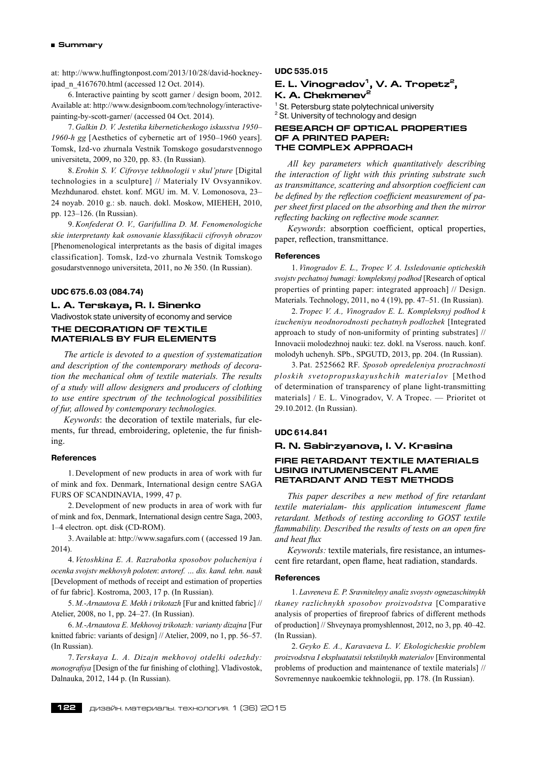at: http://www.huffingtonpost.com/2013/10/28/david-hockneyipad\_n\_4167670.html (accessed 12 Oct. 2014).

6. Interactive painting by scott garner / design boom, 2012. Available at: http://www.designboom.com/technology/interactivepainting-by-scott-garner/ (accessed 04 Oct. 2014).

7. *Galkin D. V. Jestetika kiberneticheskogo iskusstva 1950– 1960-h gg* [Aesthetics of cybernetic art of 1950–1960 years]. Tomsk, Izd-vo zhurnala Vestnik Tomskogo gosudarstvennogo universiteta, 2009, no 320, pp. 83. (In Russian).

8. *Erohin S. V. Cifrovye tekhnologii v skul'pture* [Digital technologies in a sculpture] // Materialy IV Ovsyannikov. Mezhdunarod. ehstet. konf. MGU im. M. V. Lomonosova, 23– 24 noyab. 2010 g.: sb. nauch. dokl. Moskow, MIEHEH, 2010, pp. 123–126. (In Russian).

9. *Konfederat O. V., Garifullina D. M. Fenomenologiche skie interpretanty kak osnovanie klassifikacii cifrovyh obrazov* [Phenomenological interpretants as the basis of digital images classification]. Tomsk, Izd-vo zhurnala Vestnik Tomskogo gosudarstvennogo universiteta, 2011, no № 350. (In Russian).

# **UDC 675.6.03 (084.74)**

# **L. A. Terskaya, R. I. Sinenko**

Vladivostok state university of economy and service

# **THE DECORATION OF TEXTILE MATERIALS BY FUR ELEMENTS**

*The article is devoted to a question of systematization and description of the contemporary methods of decoration the mechanical ohm of textile materials. The results of a study will allow designers and producers of clothing to use entire spectrum of the technological possibilities of fur, allowed by contemporary technologies.*

*Keywords*: the decoration of textile materials, fur elements, fur thread, embroidering, opletenie, the fur finishing.

# **References**

1. Development of new products in area of work with fur of mink and fox. Denmark, International design centre SAGA FURS OF SCANDINAVIA, 1999, 47 p.

2. Development of new products in area of work with fur of mink and fox, Denmark, International design centre Saga, 2003, 1–4 electron. opt. disk (CD-ROM).

3. Available at: http://www.sagafurs.com ( (accessed 19 Jan. 2014).

4. *Vetoshkina E. A. Razrabotka sposobov polucheniya i ocenka svojstv mekhovyh poloten*: *avtoref. … dis. kand. tehn. nauk* [Development of methods of receipt and estimation of properties of fur fabric]. Kostroma, 2003, 17 p. (In Russian).

5. *M.-Arnautova E. Mekh i trikotazh* [Fur and knitted fabric] // Atelier, 2008, no 1, pp. 24–27. (In Russian).

6. *M.-Arnautova E. Mekhovoj trikotazh: varianty dizajna* [Fur knitted fabric: variants of design] // Atelier, 2009, no 1, pp. 56–57. (In Russian).

7. *Terskaya L. A. Dizajn mekhovoj otdelki odezhdy: monografiya* [Design of the fur finishing of clothing]. Vladivostok, Dalnauka, 2012, 144 p. (In Russian).

## **UDC 535.015**

# **E. L. Vinogradov1, V. A. Tropetz2, K. A. Chekmenev<sup>2</sup>**

<sup>1</sup> St. Petersburg state polytechnical university <sup>2</sup> St. University of technology and design

## **RESEARCH OF OPTICAL PROPERTIES OF A PRINTED PAPER: THE COMPLEX APPROACH**

*All key parameters which quantitatively describing the interaction of light with this printing substrate such as transmittance, scattering and absorption coefficient can be defined by the reflection coefficient measurement of paper sheet first placed on the absorbing and then the mirror reflecting backing on reflective mode scanner.*

*Keywords*: absorption coefficient, optical properties, paper, reflection, transmittance.

# **References**

1. *Vinogradov E. L., Tropec V. A. Issledovanie opticheskih svojstv pechatnoj bumagi: kompleksnyj podhod* [Research of optical properties of printing paper: integrated approach] // Design. Materials. Technology, 2011, no 4 (19), pp. 47–51. (In Russian).

2. *Tropec V. A., Vinogradov E. L. Kompleksnyj podhod k izucheniyu neodnorodnosti pechatnyh podlozhek* [Integrated approach to study of non-uniformity of printing substrates] // Innovacii molodezhnoj nauki: tez. dokl. na Vseross. nauch. konf. molodyh uchenyh. SPb., SPGUTD, 2013, pp. 204. (In Russian).

3. Pat. 2525662 RF. *Sposob opredeleniya prozrachnosti ploskih svetopropuskayushchih materialov* [Method of determination of transparency of plane light-transmitting materials] / E. L. Vinogradov, V. A Tropec. — Prioritet ot 29.10.2012. (In Russian).

# **UDC 614.841**

# **R. N. Sabirzyanova, I. V. Krasina**

# **FIRE RETARDANT TEXTILE MATERIALS USING INTUMENSCENT FLAME RETARDANT AND TEST METHODS**

*This paper describes a new method of fire retardant textile materialam- this application intumescent flame retardant. Methods of testing according to GOST textile flammability. Described the results of tests on an open fire and heat flux*

*Keywords:* textile materials, fire resistance, an intumescent fire retardant, open flame, heat radiation, standards.

# **References**

1. *Lavreneva E. P. Sravnitelnyy analiz svoystv ognezaschitnykh tkaney razlichnykh sposobov proizvodstva* [Comparative analysis of properties of fireproof fabrics of different methods of production] // Shveynaya promyshlennost, 2012, no 3, pp. 40–42. (In Russian).

2. *Geyko E. A., Karavaeva L. V. Ekologicheskie problem proizvodstva I ekspluatatsii tekstilnykh materialov* [Environmental problems of production and maintenance of textile materials] // Sovremennye naukoemkie tekhnologii, pp. 178. (In Russian).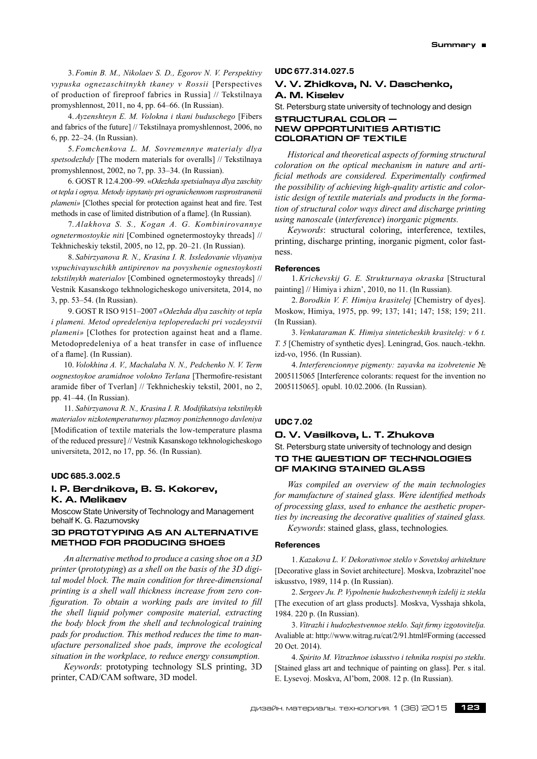3. *Fomin B. M., Nikolaev S. D., Egorov N. V. Perspektivy vypuska ognezaschitnykh tkaney v Rossii* [Perspectives of production of fireproof fabrics in Russia] // Tekstilnaya promyshlennost, 2011, no 4, pp. 64–66. (In Russian).

4. *Ayzenshteyn E. M. Volokna i tkani buduschego* [Fibers and fabrics of the future] // Tekstilnaya promyshlennost, 2006, no 6, pp. 22–24. (In Russian).

5. *Fomchenkova L. M. Sovremennye materialy dlya spetsodezhdy* [The modern materials for overalls] // Tekstilnaya promyshlennost, 2002, no 7, pp. 33–34. (In Russian).

6. GOST R 12.4.200–99. «*Odezhda spetsialnaya dlya zaschity ot tepla i ognya. Metody ispytaniy pri ogranichennom rasprostranenii plameni»* [Clothes special for protection against heat and fire. Test methods in case of limited distribution of a flame]. (In Russian).

7. *Alakhova S. S., Kogan A. G. Kombinirovannye ognetermostoykie niti* [Combined ognetermostoyky threads] // Tekhnicheskiy tekstil, 2005, no 12, pp. 20–21. (In Russian).

8. *Sabirzyanova R. N., Krasina I. R. Issledovanie vliyaniya vspuchivayuschikh antipirenov na povyshenie ognestoykosti tekstilnykh materialov* [Combined ognetermostoyky threads] // Vestnik Kasanskogo tekhnologicheskogo universiteta, 2014, no 3, pp. 53–54. (In Russian).

9. GOST R ISO 9151–2007 *«Odezhda dlya zaschity ot tepla i plameni. Metod opredeleniya teploperedachi pri vozdeystvii plameni»* [Clothes for protection against heat and a flame. Metodopredeleniya of a heat transfer in case of influence of a flame]. (In Russian).

10. *Volokhina A. V., Machalaba N. N., Pedchenko N. V. Term oognestoykoe aramidnoe volokno Terlana* [Thermofire-resistant aramide fiber of Tverlan] // Tekhnicheskiy tekstil, 2001, no 2, pp. 41–44. (In Russian).

11. *Sabirzyanova R. N., Krasina I. R. Modifikatsiya tekstilnykh materialov nizkotemperaturnoy plazmoy ponizhennogo davleniya* [Modification of textile materials the low-temperature plasma of the reduced pressure] // Vestnik Kasanskogo tekhnologicheskogo universiteta, 2012, no 17, pp. 56. (In Russian).

## **UDC 685.3.002.5**

# **I. P. Berdnikova, B. S. Kokorev, K. A. Melikaev**

Moscow State University of Technology and Management behalf K. G. Razumovsky

# **3D PROTOTYPING AS AN ALTERNATIVE METHOD FOR PRODUCING SHOES**

*An alternative method to produce a casing shoe on a 3D printer* (*prototyping*) *as a shell on the basis of the 3D digital model block. The main condition for three-dimensional printing is a shell wall thickness increase from zero configuration. To obtain a working pads are invited to fill the shell liquid polymer composite material, extracting the body block from the shell and technological training pads for production. This method reduces the time to manufacture personalized shoe pads, improve the ecological situation in the workplace, to reduce energy consumption.*

*Keywords*: prototyping technology SLS printing, 3D printer, CAD/CAM software, 3D model.

#### **UDC 677.314.027.5**

# **V. V. Zhidkova, N. V. Daschenko, A. M. Kiselev**

St. Petersburg state university of technology and design

#### **Structural color new opportunities artistic coloration of textile**

*Historical and theoretical aspects of forming structural coloration on the optical mechanism in nature and artificial methods are considered. Experimentally confirmed the possibility of achieving high-quality artistic and coloristic design of textile materials and products in the formation of structural color ways direct and discharge printing using nanoscale* (*interference*) *inorganic pigments.*

*Keywords*: structural coloring, interference, textiles, printing, discharge printing, inorganic pigment, color fastness.

#### **References**

1. *Krichevskij G. E. Strukturnaya okraska* [Structural painting] // Himiya i zhizn', 2010, no 11. (In Russian).

2. *Borodkin V. F. Himiya krasitelej* [Chemistry of dyes]. Moskow, Himiya, 1975, pp. 99; 137; 141; 147; 158; 159; 211. (In Russian).

3. *Venkataraman K. Himiya sinteticheskih krasitelej: v 6 t. T. 5* [Chemistry of synthetic dyes]. Leningrad, Gos. nauch.-tekhn. izd-vo, 1956. (In Russian).

4. *Interferencionnye pigmenty: zayavka na izobretenie* № 2005115065 [Interference colorants: request for the invention no 2005115065]. opubl. 10.02.2006. (In Russian).

#### **UDC 7.02**

# **O. V. Vasilkova, L. T. Zhukova**

St. Petersburg state university of technology and design **TO THE QUESTION OF TECHNOLOGIES OF MAKING STAINED GLASS**

*Was compiled an overview of the main technologies for manufacture of stained glass. Were identified methods of processing glass, used to enhance the aesthetic properties by increasing the decorative qualities of stained glass. Keywords*: stained glass, glass, technologies*.*

#### **References**

1. *Kazakova L. V. Dekorativnoe steklo v Sovetskoj arhitekture* [Decorative glass in Soviet architecture]. Moskva, Izobrazitel'noe iskusstvo, 1989, 114 p. (In Russian).

2. *Sergeev Ju. P. Vypolnenie hudozhestvennyh izdelij iz stekla* [The execution of art glass products]. Moskva, Vysshaja shkola, 1984. 220 p. (In Russian).

3. *Vitrazhi i hudozhestvennoe steklo. Sajt firmy izgotovitelja.* Avaliable at: http://www.witrag.ru/cat/2/91.html#Forming (accessed 20 Oct. 2014).

4. *Spirito M. Vitrazhnoe iskusstvo i tehnika rospisi po steklu*. [Stained glass art and technique of painting on glass]. Per. s ital. E. Lysevoj. Moskva, Al'bom, 2008. 12 p. (In Russian).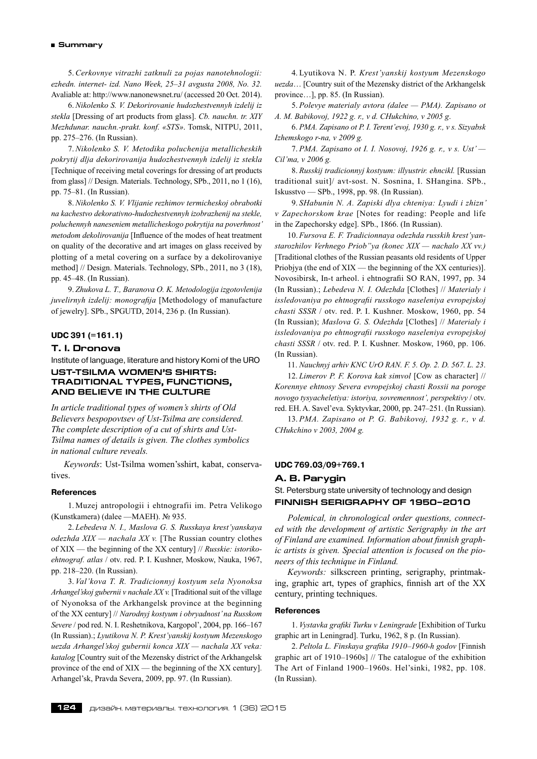#### **Summary**

5. *Cerkovnye vitrazhi zatknuli za pojas nanotehnologii: ezhedn. internet- izd. Nano Week, 25–31 avgusta 2008, No. 32.* Avaliable at: http://www.nanonewsnet.ru/ (accessed 20 Oct. 2014).

6. *Nikolenko S. V. Dekorirovanie hudozhestvennyh izdelij iz stekla* [Dressing of art products from glass]. *Cb. nauchn. tr. XIY Mezhdunar. nauchn.-prakt. konf. «STS»*. Tomsk, NITPU, 2011, pp. 275–276. (In Russian).

7. *Nikolenko S. V. Metodika poluchenija metallicheskih pokrytij dlja dekorirovanija hudozhestvennyh izdelij iz stekla* [Technique of receiving metal coverings for dressing of art products from glass] // Design. Materials. Technology, SPb., 2011, no 1 (16), pp. 75–81. (In Russian).

8. *Nikolenko S. V. Vlijanie rezhimov termicheskoj obrabotki na kachestvo dekorativno-hudozhestvennyh izobrazhenij na stekle, poluchennyh naneseniem metallicheskogo pokrytija na poverhnost' metodom dekolirovanija* [Influence of the modes of heat treatment on quality of the decorative and art images on glass received by plotting of a metal covering on a surface by a dekolirovaniye method] // Design. Materials. Technology, SPb., 2011, no 3 (18), pp. 45–48. (In Russian).

9. *Zhukova L. T., Baranova O. K. Metodologija izgotovlenija juvelirnyh izdelij: monografija* [Methodology of manufacture of jewelry]. SPb., SPGUTD, 2014, 236 p. (In Russian).

# **UDC 391 (=161.1)**

# **T. I. Dronova**

Institute of language, literature and history Komi of the URO **Ust-Tsilma women's shirts: traditional types, functions,** 

# **and believe in the culture**

*In article traditional types of women's shirts of Old Believers bespopovtsev of Ust-Tsilma are considered. The complete description of a cut of shirts and Ust-Tsilma names of details is given. The clothes symbolics in national culture reveals.*

*Keywords*: Ust-Tsilma women'sshirt, kabat, conservatives.

## **References**

1. Muzej antropologii i ehtnografii im. Petra Velikogo (Kunstkamera) (dalee —MAEH). № 935.

2. *Lebedeva N. I., Maslova G. S. Russkaya krest'yanskaya odezhda XIX — nachala XX v.* [The Russian country clothes of XIX — the beginning of the XX century] // *Russkie: istorikoehtnograf. atlas* / otv. red. P. I. Kushner, Moskow, Nauka, 1967, pp. 218–220. (In Russian).

3. *Val'kova T. R. Tradicionnyj kostyum sela Nyonoksa Arhangel'skoj gubernii v nachale XX v.* [Traditional suit of the village of Nyonoksa of the Arkhangelsk province at the beginning of the XX century] // *Narodnyj kostyum i obryadnost'na Russkom Severe* / pod red. N. I. Reshetnikova, Kargopol', 2004, pp. 166–167 (In Russian).; *Lyutikova N. P. Krest'yanskij kostyum Mezenskogo uezda Arhangel'skoj gubernii konca XIX — nachala XX veka: katalog* [Country suit of the Mezensky district of the Arkhangelsk province of the end of XIX — the beginning of the XX century]. Arhangel'sk, Pravda Severa, 2009, pp. 97. (In Russian).

4. Lyutikova N. P. *Krest'yanskij kostyum Mezenskogo uezda*… [Country suit of the Mezensky district of the Arkhangelsk province…], pp. 85. (In Russian).

5. *Polevye materialy avtora (dalee — PMA). Zapisano ot A. M. Babikovoj, 1922 g. r., v d. CHukchino, v 2005 g*.

6. *PMA. Zapisano ot P. I. Terent'evoj, 1930 g. r., v s. Sizyabsk Izhemskogo r-na, v 2009 g.*

7. *PMA. Zapisano ot I. I. Nosovoj, 1926 g. r., v s. Ust' — Cil'ma, v 2006 g.*

8. *Russkij tradicionnyj kostyum: illyustrir. ehncikl.* [Russian traditional suit]/ avt-sost. N. Sosnina, I. SHangina. SPb., Iskusstvo — SPb., 1998, pp. 98. (In Russian).

9. *SHabunin N. A. Zapiski dlya chteniya: Lyudi i zhizn' v Zapechorskom krae* [Notes for reading: People and life in the Zapechorsky edge]. SPb., 1866. (In Russian).

10. *Fursova E. F. Tradicionnaya odezhda russkih krest'yanstarozhilov Verhnego Priob"ya (konec XIX — nachalo XX vv.)* [Traditional clothes of the Russian peasants old residents of Upper Priobjya (the end of XIX — the beginning of the XX centuries)]. Novosibirsk, In-t arheol. i ehtnografii SO RAN, 1997, pp. 34 (In Russian).; *Lebedeva N. I. Odezhda* [Clothes] // *Materialy i issledovaniya po ehtnografii russkogo naseleniya evropejskoj chasti SSSR* / otv. red. P. I. Kushner. Moskow, 1960, pp. 54 (In Russian); *Maslova G. S. Odezhda* [Clothes] // *Materialy i issledovaniya po ehtnografii russkogo naseleniya evropejskoj chasti SSSR* / otv. red. P. I. Kushner. Moskow, 1960, pp. 106. (In Russian).

11. *Nauchnyj arhiv KNC UrO RAN. F. 5. Op. 2. D. 567. L. 23*. 12. *Limerov P. F. Korova kak simvol* [Cow as character] // *Korennye ehtnosy Severa evropejskoj chasti Rossii na poroge novogo tysyacheletiya: istoriya, sovremennost', perspektivy* / otv. red. EH. A. Savel'eva. Syktyvkar, 2000, pp. 247–251. (In Russian).

13. *PMA. Zapisano ot P. G. Babikovoj, 1932 g. r., v d. CHukchino v 2003, 2004 g.*

#### **UDC 769.03/09+769.1**

# **A. B. Parygin**

St. Petersburg state university of technology and design **FINNISH SERIGRAPHY OF 1950–2010**

*Polemical, in chronological order questions, connected with the development of artistic Serigraphy in the art of Finland are examined. Information about finnish graphic artists is given. Special attention is focused on the pioneers of this technique in Finland.*

*Keywords:* silkscreen printing, serigraphy, printmaking, graphic art, types of graphics, finnish art of the XX century, printing techniques.

#### **References**

1. *Vystavka grafiki Turku v Leningrade* [Exhibition of Turku graphic art in Leningrad]. Turku, 1962, 8 p. (In Russian).

2. *Peltola L. Finskaya grafika 1910–1960-h godov* [Finnish graphic art of 1910–1960s] // The catalogue of the exhibition The Art of Finland 1900–1960s. Hel'sinki, 1982, pp. 108. (In Russian).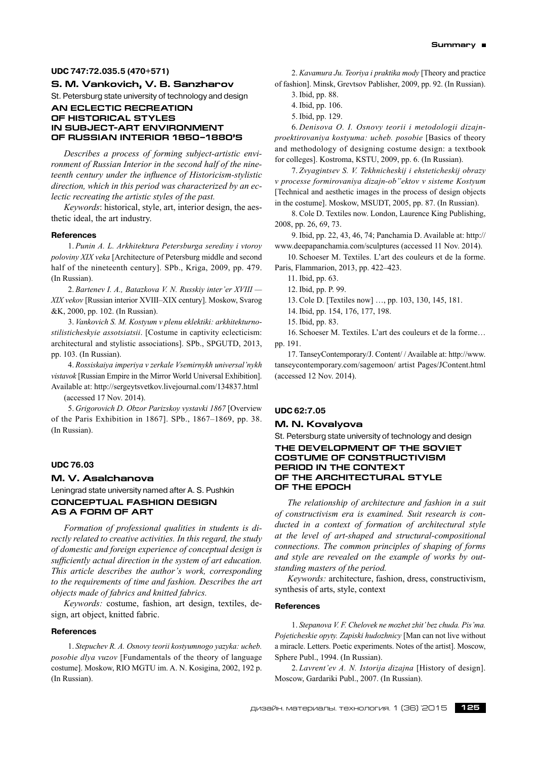# **UDC 747:72.035.5 (470+571)**

# **S. M. Vankovich, V. B. Sanzharov**

St. Petersburg state university of technology and design

## **Аn eclectic recreation of historical styles in subject-art environment of Russian interior 1850–1880's**

*Describes a process of forming subject-artistic environment of Russian Interior in the second half of the nineteenth century under the influence of Historicism-stylistic direction, which in this period was characterized by an eclectic recreating the artistic styles of the past.*

*Keywords*: historical, style, art, interior design, the aesthetic ideal, the art industry.

#### **References**

1. *Punin A. L. Arkhitektura Petersburga serediny i vtoroy poloviny ХIХ veka* [Architecture of Petersburg middle and second half of the nineteenth century]. SPb., Kriga, 2009, pp. 479. (In Russian).

2. *Bartenev I. A., Batazkova V. N. Russkiy inter'er ХVIII — ХIХ vekov* [Russian interior XVIII–XIX century]. Moskow, Svarog &K, 2000, pp. 102. (In Russian).

3. *Vankovich S. M. Kostyum v plenu eklektiki: arkhitekturnostilisticheskyie assotsiatsii*. [Costume in captivity eclecticism: architectural and stylistic associations]. SPb., SPGUTD, 2013, pp. 103. (In Russian).

4. *Rossiskaiya imperiya v zerkale Vsemirnykh universal'nykh vistavok* [Russian Empire in the Mirror World Universal Exhibition]. Available at: http://sergeytsvetkov.livejournal.com/134837.html

(accessed 17 Nov. 2014).

5. *Grigorovich D. Obzor Parizskoy vystavki 1867* [Overview of the Paris Exhibition in 1867]. SPb., 1867–1869, pp. 38. (In Russian).

#### **UDC 76.03**

# **M. V. Asalchanova**

Leningrad state university named after A. S. Pushkin **CONCEPTUAL FASHION DESIGN AS A FORM OF ART**

*Formation of professional qualities in students is directly related to creative activities. In this regard, the study of domestic and foreign experience of conceptual design is sufficiently actual direction in the system of art education. This article describes the author's work, corresponding to the requirements of time and fashion. Describes the art objects made of fabrics and knitted fabrics.*

*Keywords:* costume, fashion, art design, textiles, design, art object, knitted fabric.

# **References**

1. *Stepuchev R. A. Osnovy teorii kostyumnogo yazyka: ucheb. posobie dlya vuzov* [Fundamentals of the theory of language costume]. Moskow, RIO MGTU im. A. N. Kosigina, 2002, 192 p. (In Russian).

2. *Kavamura Ju. Teoriya i praktika mody* [Theory and practice of fashion]. Minsk, Grevtsov Pablisher, 2009, pp. 92. (In Russian).

- 4. Ibid, pp. 106.
- 5. Ibid, pp. 129.

6. *Denisova O. I. Osnovy teorii i metodologii dizajnproektirovaniya kostyuma: ucheb. posobie* [Basics of theory and methodology of designing costume design: a textbook for colleges]. Kostroma, KSTU, 2009, pp. 6. (In Russian).

7. *Zvyagintsev S. V. Tekhnicheskij i ehsteticheskij obrazy v processe formirovaniya dizajn-ob"ektov v sisteme Kostyum* [Technical and aesthetic images in the process of design objects in the costume]. Moskow, MSUDT, 2005, pp. 87. (In Russian).

8. Cole D. Textiles now. London, Laurence King Publishing, 2008, pp. 26, 69, 73.

9. Ibid, pp. 22, 43, 46, 74; Panchamia D. Available at: http:// www.deepapanchamia.com/sculptures (accessed 11 Nov. 2014).

10. Schoeser M. Textiles. L'art des couleurs et de la forme. Paris, Flammarion, 2013, pp. 422–423.

11. Ibid, pp. 63.

12. Ibid, pp. P. 99.

13. Cole D. [Textiles now] …, pp. 103, 130, 145, 181.

14. Ibid, pp. 154, 176, 177, 198.

15. Ibid, pp. 83.

16. Schoeser M. Textiles. L'art des couleurs et de la forme… pp. 191.

17. TanseyContemporary/J. Content/ / Available at: http://www. tanseycontemporary.com/sagemoon/ artist Pages/JContent.html (accessed 12 Nov. 2014).

# **UDC 62:7.05**

# **M. N. Kovalyova**

# St. Petersburg state university of technology and design **The development of the Soviet costume of constructivism period in the context of the architectural style of the epoch**

*The relationship of architecture and fashion in a suit of constructivism era is examined. Suit research is conducted in a context of formation of architectural style at the level of art-shaped and structural-compositional connections. The common principles of shaping of forms and style are revealed on the example of works by outstanding masters of the period.*

*Keywords:* architecture, fashion, dress, constructivism, synthesis of arts, style, context

#### **References**

1. *Stepanova V. F. Сhelovek ne mozhet zhit'bez chuda. Pis'ma. Pojeticheskie opyty. Zapiski hudozhnicy* [Man can not live without a miracle. Letters. Poetic experiments. Notes of the artist]. Moscow, Sphere Publ., 1994. (In Russian).

2. *Lavrent'ev A. N. Istorija dizajna* [History of design]. Moscow, Gardariki Publ., 2007. (In Russian).

<sup>3.</sup> Ibid, pp. 88.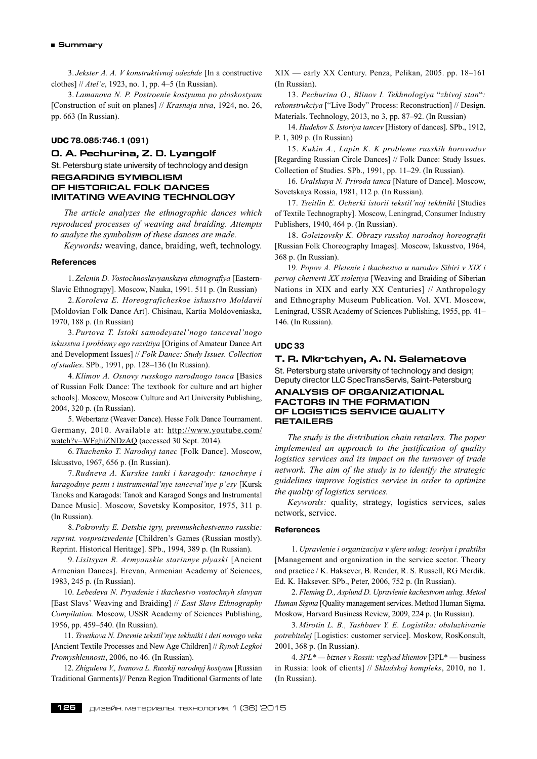3. *Jekster A. A. V konstruktivnoj odezhde* [In a constructive clothes] // *Atel'e*, 1923, no. 1, pp. 4–5 (In Russian).

3. *Lamanova N. P. Postroenie kostyuma po ploskostyam* [Construction of suit on planes] // *Krasnaja niva*, 1924, no. 26, pp. 663 (In Russian).

# **UDC 78.085:746.1 (091)**

# **O. A. Pechurina, Z. D. Lyangolf**

St. Petersburg state university of technology and design

# **REGARDING SYMBOLISM OF HISTORICAL FOLK DANCES IMITATING WEAVING TECHNOLOGY**

*The article analyzes the ethnographic dances which reproduced processes of weaving and braiding. Attempts to analyze the symbolism of these dances are made.*

*Keywords:* weaving, dance, braiding, weft, technology.

#### **References**

1. *Zelenin D. Vostochnoslavyanskaya ehtnografiya* [Eastern-Slavic Ethnograpy]. Moscow, Nauka, 1991. 511 p. (In Russian)

2. *Koroleva E. Horeograficheskoe iskusstvo Moldavii* [Moldovian Folk Dance Art]. Chisinau, Kartia Moldoveniaska, 1970, 188 p. (In Russian)

3. *Purtova T. Istoki samodeyatel'nogo tanceval'nogo iskusstva i problemy ego razvitiya* [Origins of Amateur Dance Art and Development Issues] // *Folk Dance: Study Issues. Collection of studies*. SPb., 1991, pp. 128–136 (In Russian).

4. *Klimov A. Osnovy russkogo narodnogo tanca* [Basics of Russian Folk Dance: The textbook for culture and art higher schools]. Moscow, Moscow Culture and Art University Publishing, 2004, 320 p. (In Russian).

5. Webertanz (Weaver Dance). Hesse Folk Dance Tournament. Germany, 2010. Available at: http://www.youtube.com/ watch?v=WFghiZNDzAQ (accessed 30 Sept. 2014).

6. *Tkachenko T. Narodnyj tanec* [Folk Dance]. Moscow, Iskusstvo, 1967, 656 p. (In Russian).

7. *Rudneva A. Kurskie tanki i karagody: tanochnye i karagodnye pesni i instrumental'nye tanceval'nye p'esy* [Kursk Tanoks and Karagods: Tanok and Karagod Songs and Instrumental Dance Music]. Moscow, Sovetsky Kompositor, 1975, 311 p. (In Russian).

8. *Pokrovsky E. Detskie igry, preimushchestvenno russkie: reprint. vosproizvedenie* [Children's Games (Russian mostly). Reprint. Historical Heritage]. SPb., 1994, 389 p. (In Russian).

9. *Lisitsyan R. Armyanskie starinnye plyaski* [Ancient Armenian Dances]. Erevan, Armenian Academy of Sciences, 1983, 245 p. (In Russian).

10. *Lebedeva N. Pryadenie i tkachestvo vostochnyh slavyan* [East Slavs' Weaving and Braiding] // *East Slavs Ethnography Compilation*. Moscow, USSR Academy of Sciences Publishing, 1956, pp. 459–540. (In Russian).

11. *Tsvetkova N. Drevnie tekstil'nye tekhniki i deti novogo veka* **[**Ancient Textile Processes and New Age Children] // *Rynok Legkoi Promyshlennosti*, 2006, no 46. (In Russian).

12. *Zhiguleva V., Ivanova L. Russkij narodnyj kostyum* [Russian Traditional Garments]// Penza Region Traditional Garments of late XIX — early XX Century. Penza, Pelikan, 2005. pp. 18–161 (In Russian).

13. *Pechurina O., Blinov I. Tekhnologiya* "*zhivoj stan*"*: rekonstrukciya* ["Live Body" Process: Reconstruction] // Design. Materials. Technology, 2013, no 3, pp. 87–92. (In Russian)

14. *Hudekov S. Istoriya tancev* [History of dances]. SPb., 1912, P. 1, 309 p. (In Russian)

15. *Kukin A., Lapin K. K probleme russkih horovodov* [Regarding Russian Circle Dances] // Folk Dance: Study Issues. Collection of Studies. SPb., 1991, pp. 11–29. (In Russian).

16. *Uralskaya N. Priroda tanca* [Nature of Dance]. Moscow, Sovetskaya Rossia, 1981, 112 p. (In Russian).

17. *Tseitlin E. Ocherki istorii tekstil'noj tekhniki* [Studies of Textile Technography]. Moscow, Leningrad, Consumer Industry Publishers, 1940, 464 p. (In Russian).

18. *Goleizovsky K. Obrazy russkoj narodnoj horeografii* [Russian Folk Choreography Images]. Moscow, Iskusstvo, 1964, 368 p. (In Russian).

19. *Popov A. Pletenie i tkachestvo u narodov Sibiri v XIX i pervoj chetverti XX stoletiya* [Weaving and Braiding of Siberian Nations in XIX and early XX Centuries] // Anthropology and Ethnography Museum Publication. Vol. XVI. Moscow, Leningrad, USSR Academy of Sciences Publishing, 1955, pp. 41– 146. (In Russian).

#### **UDC 33**

# **T. R. Mkrtchyan, A. N. Salamatova**

St. Petersburg state university of technology and design; Deputy direсtor LLC SpecTransServis, Saint-Petersburg

# **Analysis of organizational factors in the formation of logistics service quality retailers**

*The study is the distribution chain retailers. The paper implemented an approach to the justification of quality logistics services and its impact on the turnover of trade network. The aim of the study is to identify the strategic guidelines improve logistics service in order to optimize the quality of logistics services.*

*Keywords:* quality, strategy, logistics services, sales network, service.

#### **References**

1. *Upravlenie i organizaciya v sfere uslug: teoriya i praktika* [Management and organization in the service sector. Theory and practice / K. Haksever, B. Render, R. S. Russell, RG Merdik. Ed. K. Haksever. SPb., Peter, 2006, 752 p. (In Russian).

2. *Fleming D., Asplund D. Upravlenie kachestvom uslug. Metod Human Sigma* [Quality management services. Method Human Sigma. Moskow, Harvard Business Review, 2009, 224 p. (In Russian).

3. *Mirotin L. B., Tashbaev Y. E. Logistika: obsluzhivanie potrebitelej* [Logistics: customer service]. Moskow, RosKonsult, 2001, 368 p. (In Russian).

4. *3PL\* — biznes v Rossii: vzglyad klientov* [3PL\* — business in Russia: look of clients] // *Skladskoj kompleks*, 2010, no 1. (In Russian).